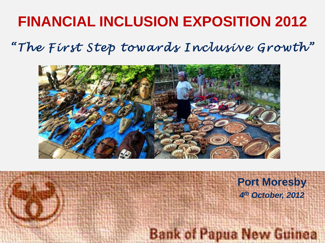# **FINANCIAL INCLUSION EXPOSITION 2012**

*"The First Step towards Inclusive Growth"*



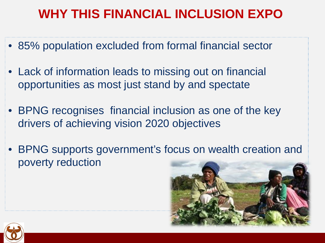## **WHY THIS FINANCIAL INCLUSION EXPO**

- 85% population excluded from formal financial sector
- Lack of information leads to missing out on financial opportunities as most just stand by and spectate
- BPNG recognises financial inclusion as one of the key drivers of achieving vision 2020 objectives
- BPNG supports government's focus on wealth creation and poverty reduction



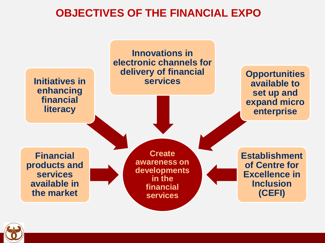#### **OBJECTIVES OF THE FINANCIAL EXPO**



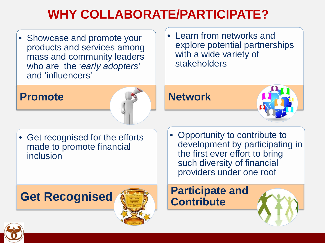# **WHY COLLABORATE/PARTICIPATE?**

• Showcase and promote your products and services among mass and community leaders who are the '*early adopters*' and 'influencers'

#### **Promote**



• Get recognised for the efforts made to promote financial inclusion

### **Get Recognised**



• Learn from networks and explore potential partnerships with a wide variety of stakeholders

### **Network**



• Opportunity to contribute to development by participating in the first ever effort to bring such diversity of financial providers under one roof

#### **Participate and Contribute**

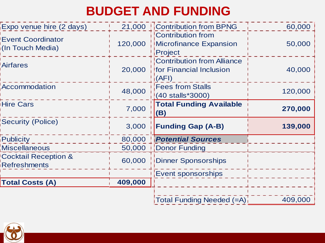## **BUDGET AND FUNDING**

| Expo venue hire (2 days)                     |         | 21,000 <b>Contribution from BPNG</b>                                         | 60,000  |
|----------------------------------------------|---------|------------------------------------------------------------------------------|---------|
| <b>Event Coordinator</b><br>(In Touch Media) | 120,000 | Contribution from<br>Microfinance Expansion<br>Project                       | 50,000  |
| <b>Airfares</b>                              | 20,000  | <b>Contribution from Alliance</b><br><b>for Financial Inclusion</b><br>(AFI) | 40,000  |
| Accommodation                                | 48,000  | <b>Fees from Stalls</b><br>(40 stalls*3000)                                  | 120,000 |
| <b>Hire Cars</b>                             | 7,000   | <b>Total Funding Available</b><br>(B)                                        | 270,000 |
| <b>Security (Police)</b>                     | 3,000   | <b>Funding Gap (A-B)</b>                                                     | 139,000 |
| <b>Publicity</b>                             | 80,000  | <b>Potential Sources</b>                                                     |         |
| <b>Miscellaneous</b>                         | 50,000  | Donor Funding                                                                |         |
| <b>Cocktail Reception &amp;</b>              | 60,000  | Dinner Sponsorships                                                          |         |
| <b>Refreshments</b>                          |         |                                                                              |         |
|                                              |         | <b>Event sponsorships</b>                                                    |         |
| <b>Total Costs (A)</b>                       | 409,000 |                                                                              |         |

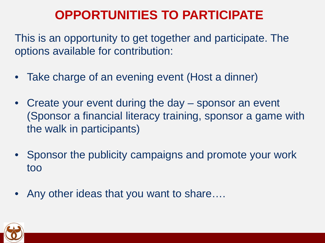## **OPPORTUNITIES TO PARTICIPATE**

This is an opportunity to get together and participate. The options available for contribution:

- Take charge of an evening event (Host a dinner)
- Create your event during the day sponsor an event (Sponsor a financial literacy training, sponsor a game with the walk in participants)
- Sponsor the publicity campaigns and promote your work too
- Any other ideas that you want to share….

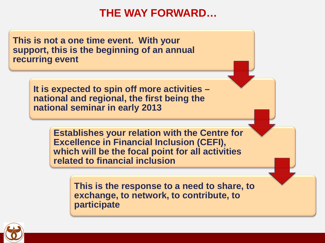#### **THE WAY FORWARD…**

**This is not a one time event. With your support, this is the beginning of an annual recurring event**

> **It is expected to spin off more activities – national and regional, the first being the national seminar in early 2013**

> > **Establishes your relation with the Centre for Excellence in Financial Inclusion (CEFI), which will be the focal point for all activities related to financial inclusion**

> > > **This is the response to a need to share, to exchange, to network, to contribute, to participate**